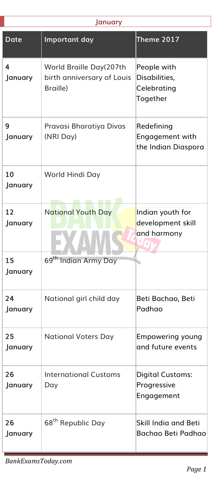| <b>January</b> |                                                                   |                                                         |  |
|----------------|-------------------------------------------------------------------|---------------------------------------------------------|--|
| <b>Date</b>    | Important day                                                     | <b>Theme 2017</b>                                       |  |
| 4<br>January   | World Braille Day(207th<br>birth anniversary of Louis<br>Braille) | People with<br>Disabilities,<br>Celebrating<br>Together |  |
| 9<br>January   | Pravasi Bharatiya Divas<br>(NRI Day)                              | Redefining<br>Engagement with<br>the Indian Diaspora    |  |
| 10<br>January  | World Hindi Day                                                   |                                                         |  |
| 12<br>January  | <b>National Youth Day</b>                                         | Indian youth for<br>development skill<br>and harmony    |  |
| 15<br>January  | 69 <sup>th</sup> Indian Army Day                                  |                                                         |  |
| 24<br>January  | National girl child day                                           | Beti Bachao, Beti<br>Padhao                             |  |
| 25<br>January  | <b>National Voters Day</b>                                        | Empowering young<br>and future events                   |  |
| 26<br>January  | <b>International Customs</b><br>Day                               | <b>Digital Customs:</b><br>Progressive<br>Engagement    |  |
| 26<br>January  | 68 <sup>th</sup> Republic Day                                     | Skill India and Beti<br>Bachao Beti Padhao              |  |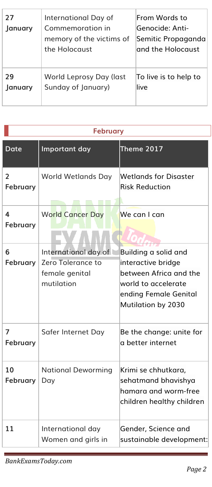| 27<br>January | International Day of<br>Commemoration in<br>memory of the victims of<br>the Holocaust | From Words to<br> Genocide: Anti-<br>Semitic Propaganda<br>and the Holocaust |
|---------------|---------------------------------------------------------------------------------------|------------------------------------------------------------------------------|
| 29            | World Leprosy Day (last                                                               | To live is to help to                                                        |
| January       | Sunday of January)                                                                    | live                                                                         |

| <b>February</b>                   |                                                                           |                                                                                                                                            |  |
|-----------------------------------|---------------------------------------------------------------------------|--------------------------------------------------------------------------------------------------------------------------------------------|--|
| <b>Date</b>                       | Important day                                                             | Theme 2017                                                                                                                                 |  |
| $\overline{2}$<br><b>February</b> | <b>World Wetlands Day</b>                                                 | <b>Wetlands for Disaster</b><br><b>Risk Reduction</b>                                                                                      |  |
| 4<br><b>February</b>              | <b>World Cancer Day</b>                                                   | We can I can                                                                                                                               |  |
| 6<br>February                     | International day of<br>Zero Tolerance to<br>female genital<br>mutilation | Building a solid and<br>interactive bridge<br>between Africa and the<br>world to accelerate<br>ending Female Genital<br>Mutilation by 2030 |  |
| 7<br>February                     | Safer Internet Day                                                        | Be the change: unite for<br>a better internet                                                                                              |  |
| 10<br><b>February</b>             | <b>National Deworming</b><br>Day                                          | Krimi se chhutkara,<br>sehatmand bhavishya<br>hamara and worm-free<br>children healthy children                                            |  |
| 11                                | International day<br>Women and girls in                                   | Gender, Science and<br>sustainable development:                                                                                            |  |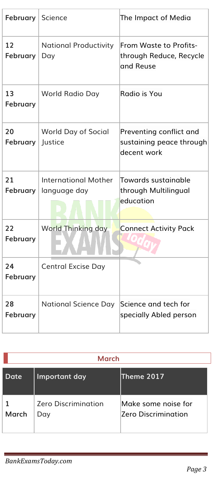| February              | Science                                     | The Impact of Media                                                |
|-----------------------|---------------------------------------------|--------------------------------------------------------------------|
| 12<br>February        | <b>National Productivity</b><br>Day         | From Waste to Profits-<br>through Reduce, Recycle<br>and Reuse     |
| 13<br><b>February</b> | World Radio Day                             | Radio is You                                                       |
| 20<br>February        | World Day of Social<br>Justice              | Preventing conflict and<br>sustaining peace through<br>decent work |
| 21<br><b>February</b> | <b>International Mother</b><br>language day | Towards sustainable<br>through Multilingual<br>education           |
| 22<br>February        | <b>World Thinking day</b>                   | <b>Connect Activity Pack</b>                                       |
| 24<br><b>February</b> | <b>Central Excise Day</b>                   |                                                                    |
| 28<br>February        | <b>National Science Day</b>                 | Science and tech for<br>specially Abled person                     |

| March |                                   |                                                   |  |
|-------|-----------------------------------|---------------------------------------------------|--|
| Date  | Important day                     | Theme 2017                                        |  |
| March | <b>Zero Discrimination</b><br>Day | Make some noise for<br><b>Zero Discrimination</b> |  |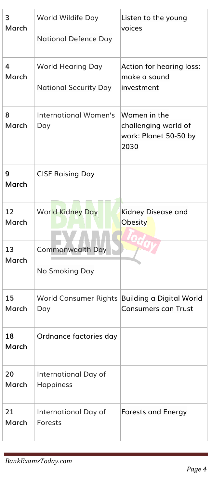| 3<br><b>March</b>  | World Wildife Day<br><b>National Defence Day</b>      | Listen to the young<br>voices                                         |
|--------------------|-------------------------------------------------------|-----------------------------------------------------------------------|
| 4<br><b>March</b>  | World Hearing Day<br><b>National Security Day</b>     | Action for hearing loss:<br>make a sound<br>investment                |
| 8<br><b>March</b>  | <b>International Women's</b><br>Day                   | Women in the<br>challenging world of<br>work: Planet 50-50 by<br>2030 |
| 9<br>March         | <b>CISF Raising Day</b>                               |                                                                       |
| 12<br><b>March</b> | <b>World Kidney Day</b>                               | Kidney Disease and<br>Obesity                                         |
| 13<br><b>March</b> | <b>Commonwealth Day</b><br>No Smoking Day             |                                                                       |
| 15<br><b>March</b> | World Consumer Rights Building a Digital World<br>Day | <b>Consumers can Trust</b>                                            |
| 18<br><b>March</b> | Ordnance factories day                                |                                                                       |
| 20<br>March        | International Day of<br>Happiness                     |                                                                       |
| 21<br><b>March</b> | International Day of<br>Forests                       | <b>Forests and Energy</b>                                             |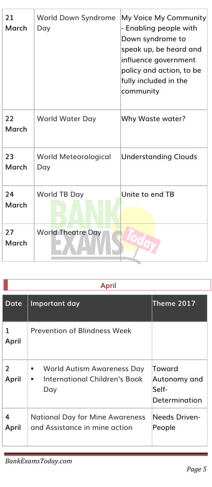| 21<br>March | World Down Syndrome<br>Day  | My Voice My Community<br>- Enabling people with<br>Down syndrome to<br>speak up, be heard and<br>influence government<br>policy and action, to be<br>fully included in the<br>community |
|-------------|-----------------------------|-----------------------------------------------------------------------------------------------------------------------------------------------------------------------------------------|
| 22<br>March | World Water Day             | Why Waste water?                                                                                                                                                                        |
| 23<br>March | World Meteorological<br>Day | <b>Understanding Clouds</b>                                                                                                                                                             |
| 74<br>March | World TB Day                | Unite to end TB                                                                                                                                                                         |
| 27<br>March | <b>World Theatre Day</b>    |                                                                                                                                                                                         |

| e.<br>٧ |  |
|---------|--|
| ٧       |  |

| Date                   | Important day                                                                | Theme 2017                                       |
|------------------------|------------------------------------------------------------------------------|--------------------------------------------------|
| 1<br>April             | Prevention of Blindness Week                                                 |                                                  |
| $\mathcal{P}$<br>April | World Autism Awareness Day<br>٠<br>International Children's Book<br>٠<br>Day | Toward<br>Autonomy and<br>Self-<br>Determination |
| 4<br>April             | <b>National Day for Mine Awareness</b><br>and Assistance in mine action      | Needs Driven-<br>People                          |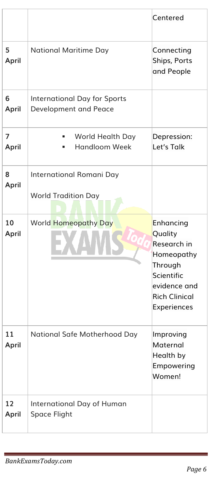|             |                                                              | Centered                                                                                                                          |
|-------------|--------------------------------------------------------------|-----------------------------------------------------------------------------------------------------------------------------------|
| 5<br>April  | <b>National Maritime Day</b>                                 | Connecting<br>Ships, Ports<br>and People                                                                                          |
| 6<br>April  | <b>International Day for Sports</b><br>Development and Peace |                                                                                                                                   |
| 7<br>April  | World Health Day<br><b>Handloom Week</b>                     | Depression:<br>Let's Talk                                                                                                         |
| 8<br>April  | International Romani Day<br><b>World Tradition Day</b>       |                                                                                                                                   |
| 10<br>April | <b>World Homeopathy Day</b>                                  | Enhancing<br>Quality<br>Research in<br>Homeopathy<br>Through<br>Scientific<br>evidence and<br><b>Rich Clinical</b><br>Experiences |
| 11<br>April | National Safe Motherhood Day                                 | Improving<br>Maternal<br>Health by<br>Empowering<br>Women!                                                                        |
| 12<br>April | International Day of Human<br>Space Flight                   |                                                                                                                                   |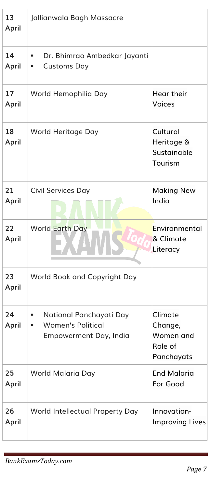| 13<br>April | Jallianwala Bagh Massacre                                                                |                                                          |
|-------------|------------------------------------------------------------------------------------------|----------------------------------------------------------|
| 14<br>April | Dr. Bhimrao Ambedkar Jayanti<br>٠<br><b>Customs Day</b><br>п                             |                                                          |
| 17<br>April | World Hemophilia Day                                                                     | Hear their<br>Voices                                     |
| 18<br>April | World Heritage Day                                                                       | Cultural<br>Heritage &<br>Sustainable<br>Tourism         |
| 21<br>April | Civil Services Day                                                                       | <b>Making New</b><br>India                               |
| 22<br>April | <b>World Earth Day</b>                                                                   | Environmental<br>& Climate<br>Literacy                   |
| 23<br>April | World Book and Copyright Day                                                             |                                                          |
| 24<br>April | National Panchayati Day<br>٠<br><b>Women's Political</b><br>I,<br>Empowerment Day, India | Climate<br>Change,<br>Women and<br>Role of<br>Panchayats |
| 25<br>April | World Malaria Day                                                                        | <b>End Malaria</b><br>For Good                           |
| 26<br>April | World Intellectual Property Day                                                          | Innovation-<br><b>Improving Lives</b>                    |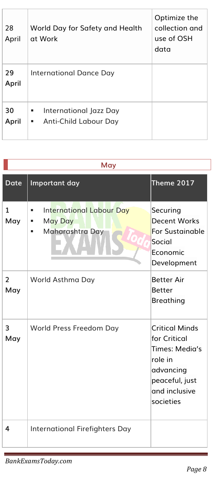| 28<br>April | World Day for Safety and Health<br>at Work                | Optimize the<br>collection and<br>use of OSH<br>data |
|-------------|-----------------------------------------------------------|------------------------------------------------------|
| 29<br>April | International Dance Day                                   |                                                      |
| 30<br>April | International Jazz Day<br>٠<br>Anti-Child Labour Day<br>ш |                                                      |

|                       | May                                                                                 |                                                                                                                                 |  |
|-----------------------|-------------------------------------------------------------------------------------|---------------------------------------------------------------------------------------------------------------------------------|--|
| <b>Date</b>           | Important day                                                                       | <b>Theme 2017</b>                                                                                                               |  |
| 1<br>May              | <b>International Labour Day</b><br>٠<br><b>May Day</b><br>п<br>Maharashtra Day<br>٠ | Securing<br><b>Decent Works</b><br><b>For Sustainable</b><br>Social<br>Fconomic<br>Development                                  |  |
| $\overline{2}$<br>May | World Asthma Day                                                                    | <b>Better Air</b><br><b>Better</b><br><b>Breathing</b>                                                                          |  |
| 3<br>May              | World Press Freedom Day                                                             | <b>Critical Minds</b><br>for Critical<br>Times: Media's<br>role in<br>advancing<br>peaceful, just<br>and inclusive<br>societies |  |
| 4                     | International Firefighters Day                                                      |                                                                                                                                 |  |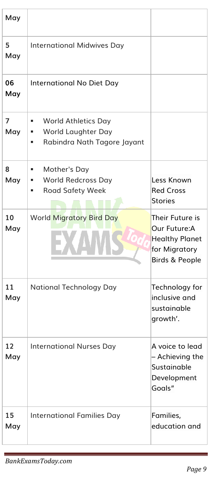| May       |                                                                                                |                                                                                             |
|-----------|------------------------------------------------------------------------------------------------|---------------------------------------------------------------------------------------------|
| 5<br>May  | <b>International Midwives Day</b>                                                              |                                                                                             |
| 06<br>May | International No Diet Day                                                                      |                                                                                             |
| 7<br>May  | <b>World Athletics Day</b><br>٠<br>World Laughter Day<br>ш<br>Rabindra Nath Tagore Jayant<br>٠ |                                                                                             |
| 8<br>May  | Mother's Day<br>٠<br><b>World Redcross Day</b><br>٠<br><b>Road Safety Week</b><br>٠            | Less Known<br><b>Red Cross</b><br><b>Stories</b>                                            |
| 10<br>May | <b>World Migratory Bird Day</b>                                                                | Their Future is<br>Our Future:A<br><b>Healthy Planet</b><br>for Migratory<br>Birds & People |
| 11<br>May | <b>National Technology Day</b>                                                                 | Technology for<br>inclusive and<br>sustainable<br>growth'.                                  |
| 12<br>May | <b>International Nurses Day</b>                                                                | A voice to lead<br>- Achieving the<br>Sustainable<br>Development<br>Goals"                  |
| 15<br>May | <b>International Families Day</b>                                                              | Families,<br>education and                                                                  |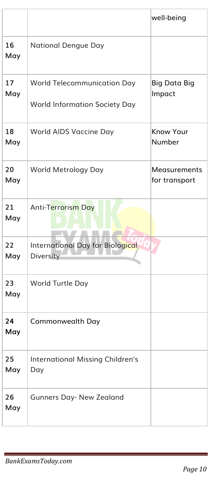|           |                                                                            | well-being                    |
|-----------|----------------------------------------------------------------------------|-------------------------------|
| 16<br>May | <b>National Dengue Day</b>                                                 |                               |
| 17<br>May | <b>World Telecommunication Day</b><br><b>World Information Society Day</b> | <b>Big Data Big</b><br>Impact |
| 18<br>May | World AIDS Vaccine Day                                                     | <b>Know Your</b><br>Number    |
| 20<br>May | World Metrology Day                                                        | Measurements<br>for transport |
| 21<br>May | Anti-Terrorism Day                                                         |                               |
| 22<br>May | International Day for Biological<br>Diversity                              |                               |
| 23<br>May | World Turtle Day                                                           |                               |
| 24<br>May | Commonwealth Day                                                           |                               |
| 25<br>May | <b>International Missing Children's</b><br>Day                             |                               |
| 26<br>May | <b>Gunners Day- New Zealand</b>                                            |                               |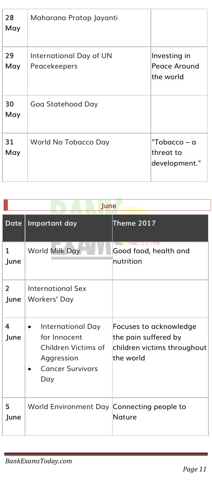| 28<br>May | Maharana Pratap Jayanti                 |                                            |
|-----------|-----------------------------------------|--------------------------------------------|
| 29<br>May | International Day of UN<br>Peacekeepers | Investing in<br>Peace Around<br>the world  |
| 30<br>May | Goa Statehood Day                       |                                            |
| 31<br>May | World No Tobacco Day                    | "Tobacco – a<br>threat to<br>development." |

## **June**

| Date                  | Important day                                                                                                         | <b>Theme 2017</b>                                                                          |
|-----------------------|-----------------------------------------------------------------------------------------------------------------------|--------------------------------------------------------------------------------------------|
| 1<br>June             | World Milk Day                                                                                                        | Good food, health and<br>nutrition                                                         |
| $\mathcal{P}$<br>June | International Sex<br>Workers' Day                                                                                     |                                                                                            |
| 4<br>June             | International Day<br>$\bullet$<br>for Innocent<br>Children Victims of<br>Aggression<br><b>Cancer Survivors</b><br>Day | Focuses to acknowledge<br>the pain suffered by<br>children victims throughout<br>the world |
| 5<br>June             | World Environment Day Connecting people to                                                                            | Nature                                                                                     |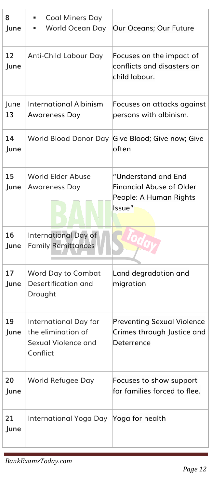| 8<br>June  | <b>Coal Miners Day</b><br>World Ocean Day                                             | Our Oceans; Our Future                                                                     |
|------------|---------------------------------------------------------------------------------------|--------------------------------------------------------------------------------------------|
| 12<br>June | Anti-Child Labour Day                                                                 | Focuses on the impact of<br>conflicts and disasters on<br>child labour.                    |
| June<br>13 | <b>International Albinism</b><br><b>Awareness Day</b>                                 | Focuses on attacks against<br>persons with albinism.                                       |
| 14<br>June | World Blood Donor Day                                                                 | Give Blood; Give now; Give<br>often                                                        |
| 15<br>June | World Flder Abuse<br>Awareness Day                                                    | "Understand and End<br><b>Financial Abuse of Older</b><br>People: A Human Rights<br>Issue" |
| 16<br>June | International Day of<br><b>Family Remittances</b>                                     |                                                                                            |
|            |                                                                                       |                                                                                            |
| 17<br>June | Word Day to Combat<br>Desertification and<br>Drought                                  | Land degradation and<br>migration                                                          |
| 19<br>June | <b>International Day for</b><br>the elimination of<br>Sexual Violence and<br>Conflict | <b>Preventing Sexual Violence</b><br>Crimes through Justice and<br>Deterrence              |
| 20<br>June | World Refugee Day                                                                     | Focuses to show support<br>for families forced to flee.                                    |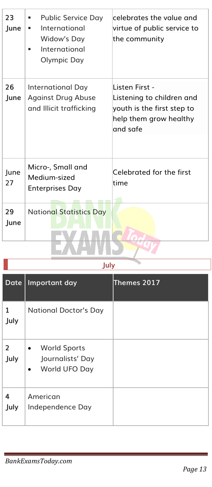| 23<br>June | Public Service Day<br>٠<br>International<br>٠<br>Widow's Day<br>International<br>Olympic Day | celebrates the value and<br>virtue of public service to<br>the community                                         |
|------------|----------------------------------------------------------------------------------------------|------------------------------------------------------------------------------------------------------------------|
| 26<br>June | International Day<br><b>Against Drug Abuse</b><br>and Illicit trafficking                    | l isten First -<br>Listening to children and<br>youth is the first step to<br>help them grow healthy<br>and safe |
| June<br>27 | Micro-, Small and<br>Medium-sized<br><b>Enterprises Day</b>                                  | Celebrated for the first<br>time                                                                                 |
| 29<br>June | <b>National Statistics Day</b>                                                               |                                                                                                                  |

**July**

| <b>Date</b> | Important day                                                                      | Themes 2017 |
|-------------|------------------------------------------------------------------------------------|-------------|
| 1<br>July   | <b>National Doctor's Day</b>                                                       |             |
| 2<br>July   | <b>World Sports</b><br>$\bullet$<br>Journalists' Day<br>World UFO Day<br>$\bullet$ |             |
| 4<br>July   | American<br>Independence Day                                                       |             |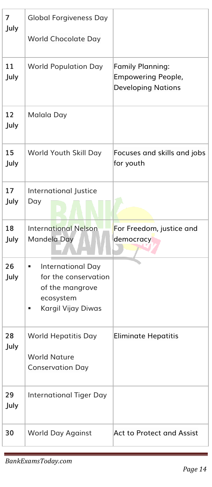| 7<br>July  | <b>Global Forgiveness Day</b>                                                                               |                                                                                   |
|------------|-------------------------------------------------------------------------------------------------------------|-----------------------------------------------------------------------------------|
|            | <b>World Chocolate Day</b>                                                                                  |                                                                                   |
| 11<br>July | <b>World Population Day</b>                                                                                 | <b>Family Planning:</b><br><b>Empowering People,</b><br><b>Developing Nations</b> |
| 12<br>July | Malala Day                                                                                                  |                                                                                   |
| 15<br>July | World Youth Skill Day                                                                                       | Focuses and skills and jobs<br>for youth                                          |
| 17<br>July | International Justice<br>Day                                                                                |                                                                                   |
| 18<br>July | <b>International Nelson</b><br>Mandela Day                                                                  | For Freedom, justice and<br>democracy                                             |
| 26<br>July | <b>International Day</b><br>٠<br>for the conservation<br>of the mangrove<br>ecosystem<br>Kargil Vijay Diwas |                                                                                   |
| 28<br>July | World Hepatitis Day<br><b>World Nature</b><br><b>Conservation Day</b>                                       | <b>Eliminate Hepatitis</b>                                                        |
| 29<br>July | <b>International Tiger Day</b>                                                                              |                                                                                   |
| 30         | <b>World Day Against</b>                                                                                    | Act to Protect and Assist                                                         |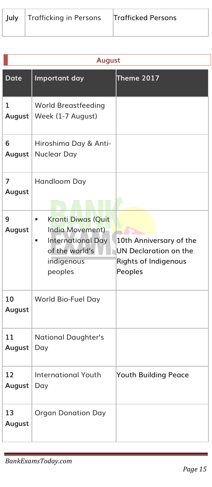| July   Trafficking in Perso |  |
|-----------------------------|--|
|                             |  |

|                          | <b>August</b>                                                                                                          |                                                                                     |  |
|--------------------------|------------------------------------------------------------------------------------------------------------------------|-------------------------------------------------------------------------------------|--|
| <b>Date</b>              | Important day                                                                                                          | <b>Theme 2017</b>                                                                   |  |
| 1<br>August              | <b>World Breastfeeding</b><br>Week (1-7 August)                                                                        |                                                                                     |  |
| 6<br>August              | Hiroshima Day & Anti-<br>Nuclear Day                                                                                   |                                                                                     |  |
| $\overline{7}$<br>August | Handloom Day                                                                                                           |                                                                                     |  |
| 9<br>August              | <b>Kranti Diwas (Quit</b><br>ш<br>India Movement)<br>International Day<br>ш<br>of the world's<br>indigenous<br>peoples | 10th Anniversary of the<br>UN Declaration on the<br>Rights of Indigenous<br>Peoples |  |
| 10<br>August             | World Bio-Fuel Day                                                                                                     |                                                                                     |  |
| 11<br>August             | National Daughter's<br>Day                                                                                             |                                                                                     |  |
| 12<br>August             | <b>International Youth</b><br>Day                                                                                      | Youth Building Peace                                                                |  |
| 13<br>August             | <b>Organ Donation Day</b>                                                                                              |                                                                                     |  |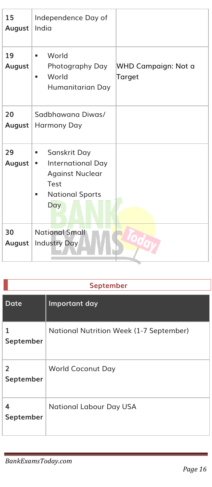| 15<br>August | Independence Day of<br>India                                                                                   |                               |
|--------------|----------------------------------------------------------------------------------------------------------------|-------------------------------|
| 19<br>August | World<br>٠<br>Photography Day<br>World<br>٠<br>Humanitarian Day                                                | WHD Campaign: Not a<br>Target |
| 20<br>August | Sadbhawana Diwas/<br>Harmony Day                                                                               |                               |
| 29<br>August | Sanskrit Day<br>ш<br>International Day<br>п<br><b>Against Nuclear</b><br>Test<br><b>National Sports</b><br>Day |                               |
| 30<br>August | <b>National Small</b><br>Industry Day                                                                          |                               |

## **September**

| Date                        | Important day                           |
|-----------------------------|-----------------------------------------|
| 1<br>September              | National Nutrition Week (1-7 September) |
| $\overline{2}$<br>September | <b>World Coconut Day</b>                |
| 4<br>September              | <b>National Labour Day USA</b>          |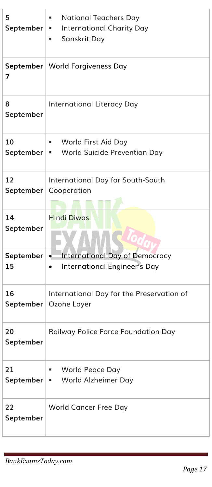| 5<br>September  | <b>National Teachers Day</b><br>٠<br><b>International Charity Day</b><br>. .<br>Sanskrit Day<br>٠ |
|-----------------|---------------------------------------------------------------------------------------------------|
| 7               | September   World Forgiveness Day                                                                 |
| 8<br>September  | International Literacy Day                                                                        |
| 10<br>September | World First Aid Day<br>٠<br>World Suicide Prevention Day<br>a s                                   |
| 12<br>September | International Day for South-South<br>Cooperation                                                  |
| 14<br>September | <b>Hindi Diwas</b>                                                                                |
| September<br>15 | <b>International Day of Democracy</b><br>$\bullet$<br>International Engineer's Day<br>$\bullet$   |
| 16<br>September | International Day for the Preservation of<br>Ozone Layer                                          |
| 20<br>September | Railway Police Force Foundation Day                                                               |
| 21<br>September | World Peace Day<br>٠<br>World Alzheimer Day<br>٠                                                  |
| 22<br>September | <b>World Cancer Free Day</b>                                                                      |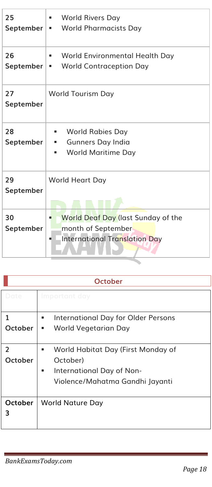| 25<br>September | <b>World Rivers Day</b><br>a se<br><b>World Pharmacists Day</b><br>a.                     |
|-----------------|-------------------------------------------------------------------------------------------|
| 26<br>September | World Environmental Health Day<br>٠<br><b>World Contraception Day</b>                     |
| 27<br>September | <b>World Tourism Day</b>                                                                  |
| 28<br>September | World Rabies Day<br>٠<br>Gunners Day India<br>٠<br><b>World Maritime Day</b><br>٠         |
| 29<br>September | <b>World Heart Day</b>                                                                    |
| 30<br>September | World Deaf Day (last Sunday of the<br>month of September<br>International Translation Day |

| <b>October</b>            |                                                                                                                          |
|---------------------------|--------------------------------------------------------------------------------------------------------------------------|
| Date                      | Important day                                                                                                            |
| 1<br>October              | <b>International Day for Older Persons</b><br>٠<br>World Vegetarian Day<br>٠                                             |
| $\overline{2}$<br>October | World Habitat Day (First Monday of<br>٠<br>October)<br>International Day of Non-<br>٠<br>Violence/Mahatma Gandhi Jayanti |
| October<br>3              | <b>World Nature Day</b>                                                                                                  |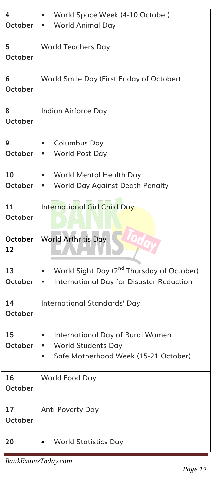| 4                    | World Space Week (4-10 October)<br>٠                                                                            |
|----------------------|-----------------------------------------------------------------------------------------------------------------|
| October              | World Animal Day                                                                                                |
| 5<br><b>October</b>  | <b>World Teachers Day</b>                                                                                       |
| 6<br><b>October</b>  | World Smile Day (First Friday of October)                                                                       |
| 8<br><b>October</b>  | Indian Airforce Day                                                                                             |
| 9<br>October         | Columbus Day<br>٠<br>World Post Day<br>٠                                                                        |
| 10<br><b>October</b> | World Mental Health Day<br>World Day Against Death Penalty<br>ш                                                 |
| 11<br>October        | <b>International Girl Child Day</b>                                                                             |
| <b>October</b><br>12 | <b>World Arthritis Day</b>                                                                                      |
| 13<br><b>October</b> | World Sight Day (2 <sup>nd</sup> Thursday of October)<br>٠<br>International Day for Disaster Reduction<br>ш     |
| 14<br><b>October</b> | International Standards' Day                                                                                    |
| 15<br>October        | International Day of Rural Women<br>п<br><b>World Students Day</b><br>Safe Motherhood Week (15-21 October)<br>٠ |
| 16<br>October        | World Food Day                                                                                                  |
| 17<br>October        | Anti-Poverty Day                                                                                                |
| 20                   | <b>World Statistics Day</b>                                                                                     |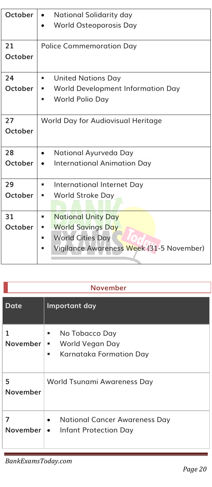| October | National Solidarity day<br>World Osteoporosis Day |
|---------|---------------------------------------------------|
|         |                                                   |
| 21      | <b>Police Commemoration Day</b>                   |
| October |                                                   |
|         |                                                   |
| 24      | <b>United Nations Day</b><br>■                    |
| October | World Development Information Day                 |
|         | World Polio Day<br>٠                              |
|         |                                                   |
| 27      | World Day for Audiovisual Heritage                |
| October |                                                   |
|         |                                                   |
| 28      | National Ayurveda Day<br>$\bullet$                |
| October | <b>International Animation Day</b>                |
|         |                                                   |
| 29      | International Internet Day<br>ш                   |
| October | World Stroke Day<br>٠                             |
|         |                                                   |
| 31      | <b>National Unity Day</b><br>٠                    |
| October | <b>World Savings Day</b><br>■                     |
|         | <b>World Cities Day</b><br>g,                     |
|         | Vigilance Awareness Week (31-5 November)          |
|         |                                                   |
|         |                                                   |

| <b>November</b> |
|-----------------|
|-----------------|

| Date                 | Important day                                                              |
|----------------------|----------------------------------------------------------------------------|
| 1<br><b>November</b> | No Tobacco Day<br>. .<br>■ World Vegan Day<br>Karnataka Formation Day<br>٠ |
| 5<br>November        | World Tsunami Awareness Day                                                |
| 7                    | • National Cancer Awareness Day<br>November   • Infant Protection Day      |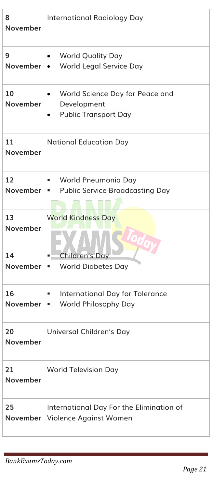| 8<br><b>November</b>  | <b>International Radiology Day</b>                                              |
|-----------------------|---------------------------------------------------------------------------------|
| 9<br>November $\cdot$ | <b>World Quality Day</b><br>World Legal Service Day                             |
| 10<br>November        | World Science Day for Peace and<br>Development<br><b>Public Transport Day</b>   |
| 11<br>November        | <b>National Education Day</b>                                                   |
| 12                    | World Pneumonia Day<br>ш<br><b>November   •</b> Public Service Broadcasting Day |
| 13<br>November        | <b>World Kindness Day</b>                                                       |
| 14<br><b>November</b> | <b>Children's Day</b><br>٠<br><b>World Diabetes Day</b><br>ш                    |
| 16<br><b>November</b> | International Day for Tolerance<br>ш<br>World Philosophy Day<br>٠               |
| 20<br>November        | Universal Children's Day                                                        |
| 21<br>November        | <b>World Television Day</b>                                                     |
| 25<br>November        | International Day For the Elimination of<br>Violence Against Women              |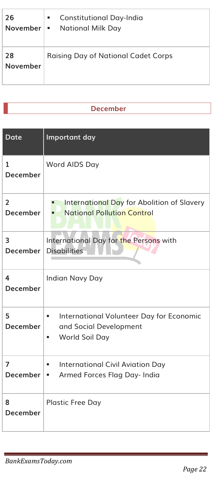| 26                    | <b>Constitutional Day-India</b><br>٠<br><b>November   •</b> National Milk Day |
|-----------------------|-------------------------------------------------------------------------------|
| 28<br><b>November</b> | <b>Raising Day of National Cadet Corps</b>                                    |

## **December**

| <b>Date</b>                | Important day                                                                                   |
|----------------------------|-------------------------------------------------------------------------------------------------|
| $\mathbf{1}$<br>December   | Word AIDS Day                                                                                   |
| $\overline{2}$<br>December | International Day for Abolition of Slavery<br><b>National Pollution Control</b>                 |
| 3<br>December              | International Day for the Persons with<br><b>Disabilities</b>                                   |
| 4<br>December              | Indian Navy Day                                                                                 |
| 5<br><b>December</b>       | International Volunteer Day for Economic<br>a.<br>and Social Development<br>World Soil Day<br>٠ |
| 7<br><b>December</b>       | <b>International Civil Aviation Day</b><br>٠<br>Armed Forces Flag Day- India<br><b>I B</b>      |
| 8<br>December              | <b>Plastic Free Day</b>                                                                         |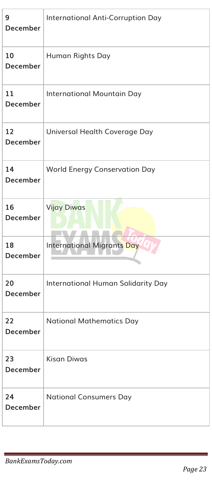| 9<br>December         | <b>International Anti-Corruption Day</b> |
|-----------------------|------------------------------------------|
| 10<br>December        | Human Rights Day                         |
| 11<br><b>December</b> | International Mountain Day               |
| 12<br>December        | Universal Health Coverage Day            |
| 14<br><b>December</b> | <b>World Energy Conservation Day</b>     |
| 16<br>December        | Vijay Diwas                              |
| 18<br>December        | <b>International Migrants Day</b>        |
| 20<br><b>December</b> | International Human Solidarity Day       |
| 22<br>December        | <b>National Mathematics Day</b>          |
| 23<br>December        | <b>Kisan Diwas</b>                       |
| 24<br><b>December</b> | <b>National Consumers Day</b>            |